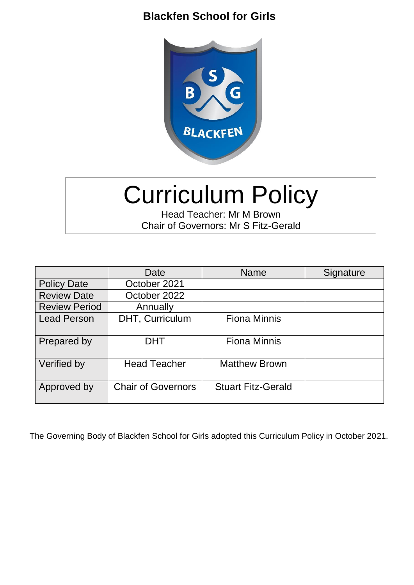

# Curriculum Policy

Head Teacher: Mr M Brown Chair of Governors: Mr S Fitz-Gerald

|                      | Date                      | <b>Name</b>               | Signature |
|----------------------|---------------------------|---------------------------|-----------|
| <b>Policy Date</b>   | October 2021              |                           |           |
| <b>Review Date</b>   | October 2022              |                           |           |
| <b>Review Period</b> | Annually                  |                           |           |
| <b>Lead Person</b>   | DHT, Curriculum           | <b>Fiona Minnis</b>       |           |
| Prepared by          | <b>DHT</b>                | <b>Fiona Minnis</b>       |           |
| Verified by          | <b>Head Teacher</b>       | <b>Matthew Brown</b>      |           |
| Approved by          | <b>Chair of Governors</b> | <b>Stuart Fitz-Gerald</b> |           |

The Governing Body of Blackfen School for Girls adopted this Curriculum Policy in October 2021.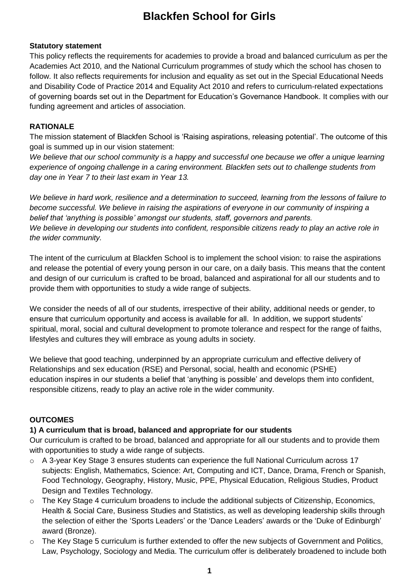#### **Statutory statement**

This policy reflects the requirements for academies to provide a broad and balanced curriculum as per the Academies Act 2010, and the National Curriculum programmes of study which the school has chosen to follow. It also reflects requirements for inclusion and equality as set out in the Special Educational Needs and Disability Code of Practice 2014 and Equality Act 2010 and refers to curriculum-related expectations of governing boards set out in the Department for Education's Governance Handbook. It complies with our funding agreement and articles of association.

## **RATIONALE**

The mission statement of Blackfen School is 'Raising aspirations, releasing potential'. The outcome of this goal is summed up in our vision statement:

We believe that our school community is a happy and successful one because we offer a unique learning *experience of ongoing challenge in a caring environment. Blackfen sets out to challenge students from day one in Year 7 to their last exam in Year 13.*

*We believe in hard work, resilience and a determination to succeed, learning from the lessons of failure to become successful. We believe in raising the aspirations of everyone in our community of inspiring a belief that 'anything is possible' amongst our students, staff, governors and parents. We believe in developing our students into confident, responsible citizens ready to play an active role in the wider community.*

The intent of the curriculum at Blackfen School is to implement the school vision: to raise the aspirations and release the potential of every young person in our care, on a daily basis. This means that the content and design of our curriculum is crafted to be broad, balanced and aspirational for all our students and to provide them with opportunities to study a wide range of subjects.

We consider the needs of all of our students, irrespective of their ability, additional needs or gender, to ensure that curriculum opportunity and access is available for all. In addition, we support students' spiritual, moral, social and cultural development to promote tolerance and respect for the range of faiths, lifestyles and cultures they will embrace as young adults in society.

We believe that good teaching, underpinned by an appropriate curriculum and effective delivery of Relationships and sex education (RSE) and Personal, social, health and economic (PSHE) education inspires in our students a belief that 'anything is possible' and develops them into confident, responsible citizens, ready to play an active role in the wider community.

#### **OUTCOMES**

#### **1) A curriculum that is broad, balanced and appropriate for our students**

Our curriculum is crafted to be broad, balanced and appropriate for all our students and to provide them with opportunities to study a wide range of subjects.

- $\circ$  A 3-year Key Stage 3 ensures students can experience the full National Curriculum across 17 subjects: English, Mathematics, Science: Art, Computing and ICT, Dance, Drama, French or Spanish, Food Technology, Geography, History, Music, PPE, Physical Education, Religious Studies, Product Design and Textiles Technology.
- $\circ$  The Key Stage 4 curriculum broadens to include the additional subjects of Citizenship, Economics, Health & Social Care, Business Studies and Statistics, as well as developing leadership skills through the selection of either the 'Sports Leaders' or the 'Dance Leaders' awards or the 'Duke of Edinburgh' award (Bronze).
- o The Key Stage 5 curriculum is further extended to offer the new subjects of Government and Politics, Law, Psychology, Sociology and Media. The curriculum offer is deliberately broadened to include both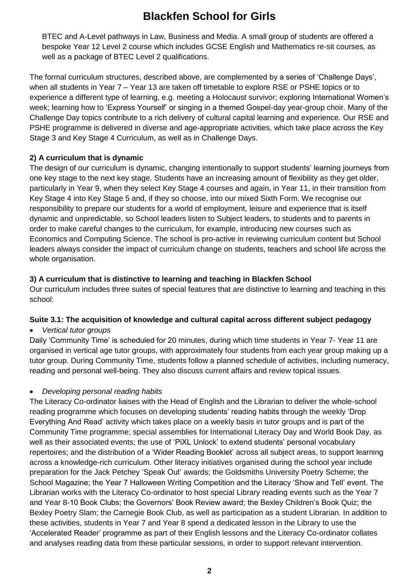BTEC and A-Level pathways in Law, Business and Media. A small group of students are offered a bespoke Year 12 Level 2 course which includes GCSE English and Mathematics re-sit courses, as well as a package of BTEC Level 2 qualifications.

The formal curriculum structures, described above, are complemented by a series of 'Challenge Days', when all students in Year 7 – Year 13 are taken off timetable to explore RSE or PSHE topics or to experience a different type of learning, e.g. meeting a Holocaust survivor; exploring International Women's week; learning how to 'Express Yourself' or singing in a themed Gospel-day year-group choir. Many of the Challenge Day topics contribute to a rich delivery of cultural capital learning and experience. Our RSE and PSHE programme is delivered in diverse and age-appropriate activities, which take place across the Key Stage 3 and Key Stage 4 Curriculum, as well as in Challenge Days.

#### **2) A curriculum that is dynamic**

The design of our curriculum is dynamic, changing intentionally to support students' learning journeys from one key stage to the next key stage. Students have an increasing amount of flexibility as they get older, particularly in Year 9, when they select Key Stage 4 courses and again, in Year 11, in their transition from Key Stage 4 into Key Stage 5 and, if they so choose, into our mixed Sixth Form. We recognise our responsibility to prepare our students for a world of employment, leisure and experience that is itself dynamic and unpredictable, so School leaders listen to Subject leaders, to students and to parents in order to make careful changes to the curriculum, for example, introducing new courses such as Economics and Computing Science. The school is pro-active in reviewing curriculum content but School leaders always consider the impact of curriculum change on students, teachers and school life across the whole organisation.

## **3) A curriculum that is distinctive to learning and teaching in Blackfen School**

Our curriculum includes three suites of special features that are distinctive to learning and teaching in this school:

#### **Suite 3.1: The acquisition of knowledge and cultural capital across different subject pedagogy**

*Vertical tutor groups*

Daily 'Community Time' is scheduled for 20 minutes, during which time students in Year 7- Year 11 are organised in vertical age tutor groups, with approximately four students from each year group making up a tutor group. During Community Time, students follow a planned schedule of activities, including numeracy, reading and personal well-being. They also discuss current affairs and review topical issues.

# *Developing personal reading habits*

The Literacy Co-ordinator liaises with the Head of English and the Librarian to deliver the whole-school reading programme which focuses on developing students' reading habits through the weekly 'Drop Everything And Read' activity which takes place on a weekly basis in tutor groups and is part of the Community Time programme; special assemblies for International Literacy Day and World Book Day, as well as their associated events; the use of 'PiXL Unlock' to extend students' personal vocabulary repertoires; and the distribution of a 'Wider Reading Booklet' across all subject areas, to support learning across a knowledge-rich curriculum. Other literacy initiatives organised during the school year include preparation for the Jack Petchey 'Speak Out' awards; the Goldsmiths University Poetry Scheme; the School Magazine; the Year 7 Halloween Writing Competition and the Literacy 'Show and Tell' event. The Librarian works with the Literacy Co-ordinator to host special Library reading events such as the Year 7 and Year 8-10 Book Clubs; the Governors' Book Review award; the Bexley Children's Book Quiz; the Bexley Poetry Slam; the Carnegie Book Club, as well as participation as a student Librarian. In addition to these activities, students in Year 7 and Year 8 spend a dedicated lesson in the Library to use the 'Accelerated Reader' programme as part of their English lessons and the Literacy Co-ordinator collates and analyses reading data from these particular sessions, in order to support relevant intervention.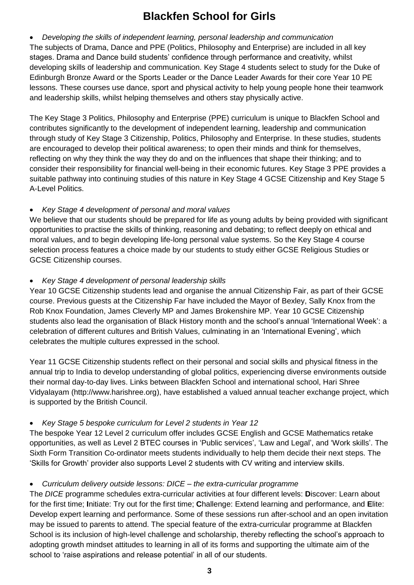*Developing the skills of independent learning, personal leadership and communication* The subjects of Drama, Dance and PPE (Politics, Philosophy and Enterprise) are included in all key stages. Drama and Dance build students' confidence through performance and creativity, whilst developing skills of leadership and communication. Key Stage 4 students select to study for the Duke of Edinburgh Bronze Award or the Sports Leader or the Dance Leader Awards for their core Year 10 PE lessons. These courses use dance, sport and physical activity to help young people hone their teamwork and leadership skills, whilst helping themselves and others stay physically active.

The Key Stage 3 Politics, Philosophy and Enterprise (PPE) curriculum is unique to Blackfen School and contributes significantly to the development of independent learning, leadership and communication through study of Key Stage 3 Citizenship, Politics, Philosophy and Enterprise. In these studies, students are encouraged to develop their political awareness; to open their minds and think for themselves, reflecting on why they think the way they do and on the influences that shape their thinking; and to consider their responsibility for financial well-being in their economic futures. Key Stage 3 PPE provides a suitable pathway into continuing studies of this nature in Key Stage 4 GCSE Citizenship and Key Stage 5 A-Level Politics.

## *Key Stage 4 development of personal and moral values*

We believe that our students should be prepared for life as young adults by being provided with significant opportunities to practise the skills of thinking, reasoning and debating; to reflect deeply on ethical and moral values, and to begin developing life-long personal value systems. So the Key Stage 4 course selection process features a choice made by our students to study either GCSE Religious Studies or GCSE Citizenship courses.

## *Key Stage 4 development of personal leadership skills*

Year 10 GCSE Citizenship students lead and organise the annual Citizenship Fair, as part of their GCSE course. Previous guests at the Citizenship Far have included the Mayor of Bexley, Sally Knox from the Rob Knox Foundation, James Cleverly MP and James Brokenshire MP. Year 10 GCSE Citizenship students also lead the organisation of Black History month and the school's annual 'International Week': a celebration of different cultures and British Values, culminating in an 'International Evening', which celebrates the multiple cultures expressed in the school.

Year 11 GCSE Citizenship students reflect on their personal and social skills and physical fitness in the annual trip to India to develop understanding of global politics, experiencing diverse environments outside their normal day-to-day lives. Links between Blackfen School and international school, Hari Shree Vidyalayam (http://www.harishree.org), have established a valued annual teacher exchange project, which is supported by the British Council.

# *Key Stage 5 bespoke curriculum for Level 2 students in Year 12*

The bespoke Year 12 Level 2 curriculum offer includes GCSE English and GCSE Mathematics retake opportunities, as well as Level 2 BTEC courses in 'Public services', 'Law and Legal', and 'Work skills'. The Sixth Form Transition Co-ordinator meets students individually to help them decide their next steps. The 'Skills for Growth' provider also supports Level 2 students with CV writing and interview skills.

# *Curriculum delivery outside lessons: DICE – the extra-curricular programme*

The *DICE* programme schedules extra-curricular activities at four different levels: **D**iscover: Learn about for the first time; **I**nitiate: Try out for the first time; **C**hallenge: Extend learning and performance, and **E**lite: Develop expert learning and performance. Some of these sessions run after-school and an open invitation may be issued to parents to attend. The special feature of the extra-curricular programme at Blackfen School is its inclusion of high-level challenge and scholarship, thereby reflecting the school's approach to adopting growth mindset attitudes to learning in all of its forms and supporting the ultimate aim of the school to 'raise aspirations and release potential' in all of our students.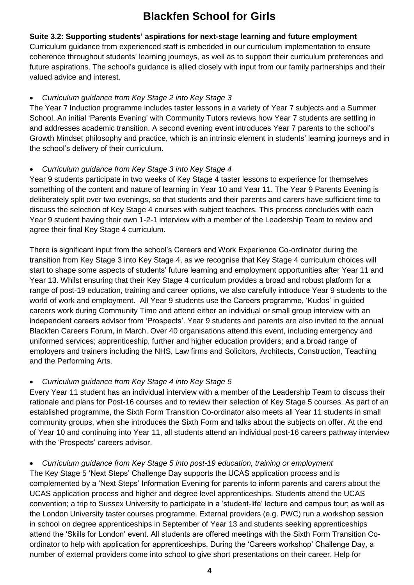## **Suite 3.2: Supporting students' aspirations for next-stage learning and future employment** Curriculum guidance from experienced staff is embedded in our curriculum implementation to ensure coherence throughout students' learning journeys, as well as to support their curriculum preferences and future aspirations. The school's guidance is allied closely with input from our family partnerships and their valued advice and interest.

## *Curriculum guidance from Key Stage 2 into Key Stage 3*

The Year 7 Induction programme includes taster lessons in a variety of Year 7 subjects and a Summer School. An initial 'Parents Evening' with Community Tutors reviews how Year 7 students are settling in and addresses academic transition. A second evening event introduces Year 7 parents to the school's Growth Mindset philosophy and practice, which is an intrinsic element in students' learning journeys and in the school's delivery of their curriculum.

## *Curriculum guidance from Key Stage 3 into Key Stage 4*

Year 9 students participate in two weeks of Key Stage 4 taster lessons to experience for themselves something of the content and nature of learning in Year 10 and Year 11. The Year 9 Parents Evening is deliberately split over two evenings, so that students and their parents and carers have sufficient time to discuss the selection of Key Stage 4 courses with subject teachers. This process concludes with each Year 9 student having their own 1-2-1 interview with a member of the Leadership Team to review and agree their final Key Stage 4 curriculum.

There is significant input from the school's Careers and Work Experience Co-ordinator during the transition from Key Stage 3 into Key Stage 4, as we recognise that Key Stage 4 curriculum choices will start to shape some aspects of students' future learning and employment opportunities after Year 11 and Year 13. Whilst ensuring that their Key Stage 4 curriculum provides a broad and robust platform for a range of post-19 education, training and career options, we also carefully introduce Year 9 students to the world of work and employment. All Year 9 students use the Careers programme, 'Kudos' in guided careers work during Community Time and attend either an individual or small group interview with an independent careers advisor from 'Prospects'. Year 9 students and parents are also invited to the annual Blackfen Careers Forum, in March. Over 40 organisations attend this event, including emergency and uniformed services; apprenticeship, further and higher education providers; and a broad range of employers and trainers including the NHS, Law firms and Solicitors, Architects, Construction, Teaching and the Performing Arts.

# *Curriculum guidance from Key Stage 4 into Key Stage 5*

Every Year 11 student has an individual interview with a member of the Leadership Team to discuss their rationale and plans for Post-16 courses and to review their selection of Key Stage 5 courses. As part of an established programme, the Sixth Form Transition Co-ordinator also meets all Year 11 students in small community groups, when she introduces the Sixth Form and talks about the subjects on offer. At the end of Year 10 and continuing into Year 11, all students attend an individual post-16 careers pathway interview with the 'Prospects' careers advisor.

#### *Curriculum guidance from Key Stage 5 into post-19 education, training or employment*

The Key Stage 5 'Next Steps' Challenge Day supports the UCAS application process and is complemented by a 'Next Steps' Information Evening for parents to inform parents and carers about the UCAS application process and higher and degree level apprenticeships. Students attend the UCAS convention; a trip to Sussex University to participate in a 'student-life' lecture and campus tour; as well as the London University taster courses programme. External providers (e.g. PWC) run a workshop session in school on degree apprenticeships in September of Year 13 and students seeking apprenticeships attend the 'Skills for London' event. All students are offered meetings with the Sixth Form Transition Coordinator to help with application for apprenticeships. During the 'Careers workshop' Challenge Day, a number of external providers come into school to give short presentations on their career. Help for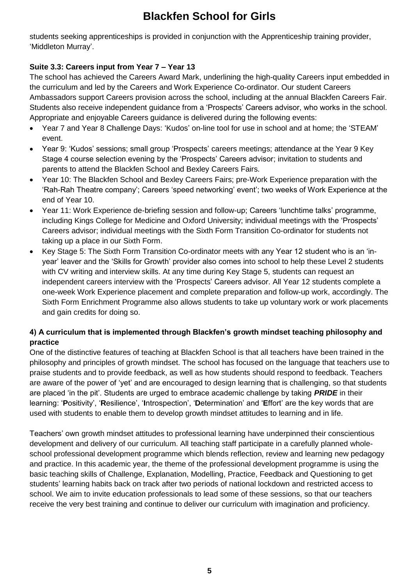students seeking apprenticeships is provided in conjunction with the Apprenticeship training provider, 'Middleton Murray'.

# **Suite 3.3: Careers input from Year 7 – Year 13**

The school has achieved the Careers Award Mark, underlining the high-quality Careers input embedded in the curriculum and led by the Careers and Work Experience Co-ordinator. Our student Careers Ambassadors support Careers provision across the school, including at the annual Blackfen Careers Fair. Students also receive independent guidance from a 'Prospects' Careers advisor, who works in the school. Appropriate and enjoyable Careers guidance is delivered during the following events:

- Year 7 and Year 8 Challenge Days: 'Kudos' on-line tool for use in school and at home; the 'STEAM' event.
- Year 9: 'Kudos' sessions; small group 'Prospects' careers meetings; attendance at the Year 9 Key Stage 4 course selection evening by the 'Prospects' Careers advisor; invitation to students and parents to attend the Blackfen School and Bexley Careers Fairs.
- Year 10: The Blackfen School and Bexley Careers Fairs; pre-Work Experience preparation with the 'Rah-Rah Theatre company'; Careers 'speed networking' event'; two weeks of Work Experience at the end of Year 10.
- Year 11: Work Experience de-briefing session and follow-up; Careers 'lunchtime talks' programme, including Kings College for Medicine and Oxford University; individual meetings with the 'Prospects' Careers advisor; individual meetings with the Sixth Form Transition Co-ordinator for students not taking up a place in our Sixth Form.
- Key Stage 5: The Sixth Form Transition Co-ordinator meets with any Year 12 student who is an 'inyear' leaver and the 'Skills for Growth' provider also comes into school to help these Level 2 students with CV writing and interview skills. At any time during Key Stage 5, students can request an independent careers interview with the 'Prospects' Careers advisor. All Year 12 students complete a one-week Work Experience placement and complete preparation and follow-up work, accordingly. The Sixth Form Enrichment Programme also allows students to take up voluntary work or work placements and gain credits for doing so.

# **4) A curriculum that is implemented through Blackfen's growth mindset teaching philosophy and practice**

One of the distinctive features of teaching at Blackfen School is that all teachers have been trained in the philosophy and principles of growth mindset. The school has focused on the language that teachers use to praise students and to provide feedback, as well as how students should respond to feedback. Teachers are aware of the power of 'yet' and are encouraged to design learning that is challenging, so that students are placed 'in the pit'. Students are urged to embrace academic challenge by taking *PRIDE* in their learning: '**P**ositivity', '**R**esilience', '**I**ntrospection', '**D**etermination' and '**E**ffort' are the key words that are used with students to enable them to develop growth mindset attitudes to learning and in life.

Teachers' own growth mindset attitudes to professional learning have underpinned their conscientious development and delivery of our curriculum. All teaching staff participate in a carefully planned wholeschool professional development programme which blends reflection, review and learning new pedagogy and practice. In this academic year, the theme of the professional development programme is using the basic teaching skills of Challenge, Explanation, Modelling, Practice, Feedback and Questioning to get students' learning habits back on track after two periods of national lockdown and restricted access to school. We aim to invite education professionals to lead some of these sessions, so that our teachers receive the very best training and continue to deliver our curriculum with imagination and proficiency.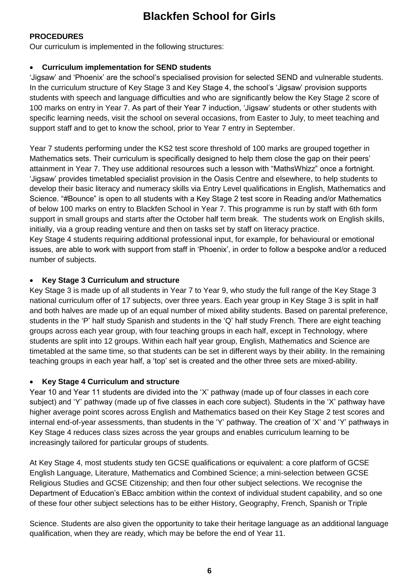#### **PROCEDURES**

Our curriculum is implemented in the following structures:

#### **Curriculum implementation for SEND students**

'Jigsaw' and 'Phoenix' are the school's specialised provision for selected SEND and vulnerable students. In the curriculum structure of Key Stage 3 and Key Stage 4, the school's 'Jigsaw' provision supports students with speech and language difficulties and who are significantly below the Key Stage 2 score of 100 marks on entry in Year 7. As part of their Year 7 induction, 'Jigsaw' students or other students with specific learning needs, visit the school on several occasions, from Easter to July, to meet teaching and support staff and to get to know the school, prior to Year 7 entry in September.

Year 7 students performing under the KS2 test score threshold of 100 marks are grouped together in Mathematics sets. Their curriculum is specifically designed to help them close the gap on their peers' attainment in Year 7. They use additional resources such a lesson with "MathsWhizz" once a fortnight. 'Jigsaw' provides timetabled specialist provision in the Oasis Centre and elsewhere, to help students to develop their basic literacy and numeracy skills via Entry Level qualifications in English, Mathematics and Science. "#Bounce" is open to all students with a Key Stage 2 test score in Reading and/or Mathematics of below 100 marks on entry to Blackfen School in Year 7. This programme is run by staff with 6th form support in small groups and starts after the October half term break. The students work on English skills, initially, via a group reading venture and then on tasks set by staff on literacy practice. Key Stage 4 students requiring additional professional input, for example, for behavioural or emotional issues, are able to work with support from staff in 'Phoenix', in order to follow a bespoke and/or a reduced number of subjects.

#### **Key Stage 3 Curriculum and structure**

Key Stage 3 is made up of all students in Year 7 to Year 9, who study the full range of the Key Stage 3 national curriculum offer of 17 subjects, over three years. Each year group in Key Stage 3 is split in half and both halves are made up of an equal number of mixed ability students. Based on parental preference, students in the 'P' half study Spanish and students in the 'Q' half study French. There are eight teaching groups across each year group, with four teaching groups in each half, except in Technology, where students are split into 12 groups. Within each half year group, English, Mathematics and Science are timetabled at the same time, so that students can be set in different ways by their ability. In the remaining teaching groups in each year half, a 'top' set is created and the other three sets are mixed-ability.

#### **Key Stage 4 Curriculum and structure**

Year 10 and Year 11 students are divided into the 'X' pathway (made up of four classes in each core subject) and 'Y' pathway (made up of five classes in each core subject). Students in the 'X' pathway have higher average point scores across English and Mathematics based on their Key Stage 2 test scores and internal end-of-year assessments, than students in the 'Y' pathway. The creation of 'X' and 'Y' pathways in Key Stage 4 reduces class sizes across the year groups and enables curriculum learning to be increasingly tailored for particular groups of students.

At Key Stage 4, most students study ten GCSE qualifications or equivalent: a core platform of GCSE English Language, Literature, Mathematics and Combined Science; a mini-selection between GCSE Religious Studies and GCSE Citizenship; and then four other subject selections. We recognise the Department of Education's EBacc ambition within the context of individual student capability, and so one of these four other subject selections has to be either History, Geography, French, Spanish or Triple

Science. Students are also given the opportunity to take their heritage language as an additional language qualification, when they are ready, which may be before the end of Year 11.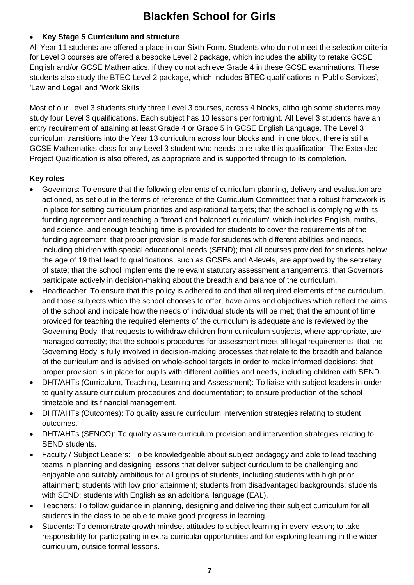## **Key Stage 5 Curriculum and structure**

All Year 11 students are offered a place in our Sixth Form. Students who do not meet the selection criteria for Level 3 courses are offered a bespoke Level 2 package, which includes the ability to retake GCSE English and/or GCSE Mathematics, if they do not achieve Grade 4 in these GCSE examinations. These students also study the BTEC Level 2 package, which includes BTEC qualifications in 'Public Services', 'Law and Legal' and 'Work Skills'.

Most of our Level 3 students study three Level 3 courses, across 4 blocks, although some students may study four Level 3 qualifications. Each subject has 10 lessons per fortnight. All Level 3 students have an entry requirement of attaining at least Grade 4 or Grade 5 in GCSE English Language. The Level 3 curriculum transitions into the Year 13 curriculum across four blocks and, in one block, there is still a GCSE Mathematics class for any Level 3 student who needs to re-take this qualification. The Extended Project Qualification is also offered, as appropriate and is supported through to its completion.

## **Key roles**

- Governors: To ensure that the following elements of curriculum planning, delivery and evaluation are actioned, as set out in the terms of reference of the Curriculum Committee: that a robust framework is in place for setting curriculum priorities and aspirational targets; that the school is complying with its funding agreement and teaching a "broad and balanced curriculum" which includes English, maths, and science, and enough teaching time is provided for students to cover the requirements of the funding agreement; that proper provision is made for students with different abilities and needs, including children with special educational needs (SEND); that all courses provided for students below the age of 19 that lead to qualifications, such as GCSEs and A-levels, are approved by the secretary of state; that the school implements the relevant statutory assessment arrangements; that Governors participate actively in decision-making about the breadth and balance of the curriculum.
- Headteacher: To ensure that this policy is adhered to and that all required elements of the curriculum, and those subjects which the school chooses to offer, have aims and objectives which reflect the aims of the school and indicate how the needs of individual students will be met; that the amount of time provided for teaching the required elements of the curriculum is adequate and is reviewed by the Governing Body; that requests to withdraw children from curriculum subjects, where appropriate, are managed correctly; that the school's procedures for assessment meet all legal requirements; that the Governing Body is fully involved in decision-making processes that relate to the breadth and balance of the curriculum and is advised on whole-school targets in order to make informed decisions; that proper provision is in place for pupils with different abilities and needs, including children with SEND.
- DHT/AHTs (Curriculum, Teaching, Learning and Assessment): To liaise with subject leaders in order to quality assure curriculum procedures and documentation; to ensure production of the school timetable and its financial management.
- DHT/AHTs (Outcomes): To quality assure curriculum intervention strategies relating to student outcomes.
- DHT/AHTs (SENCO): To quality assure curriculum provision and intervention strategies relating to SEND students.
- Faculty / Subject Leaders: To be knowledgeable about subject pedagogy and able to lead teaching teams in planning and designing lessons that deliver subject curriculum to be challenging and enjoyable and suitably ambitious for all groups of students, including students with high prior attainment; students with low prior attainment; students from disadvantaged backgrounds; students with SEND; students with English as an additional language (EAL).
- Teachers: To follow guidance in planning, designing and delivering their subject curriculum for all students in the class to be able to make good progress in learning.
- Students: To demonstrate growth mindset attitudes to subject learning in every lesson; to take responsibility for participating in extra-curricular opportunities and for exploring learning in the wider curriculum, outside formal lessons.